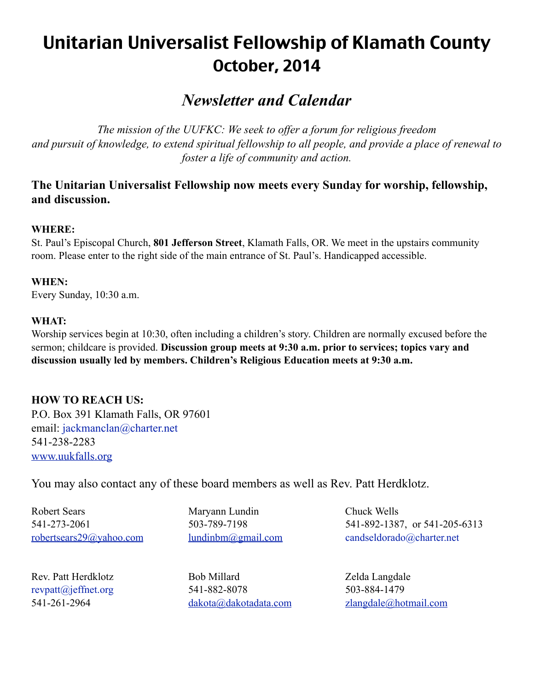# Unitarian Universalist Fellowship of Klamath County October, 2014

## *Newsletter and Calendar*

*The mission of the UUFKC: We seek to offer a forum for religious freedom and pursuit of knowledge, to extend spiritual fellowship to all people, and provide a place of renewal to foster a life of community and action.* 

## **The Unitarian Universalist Fellowship now meets every Sunday for worship, fellowship, and discussion.**

#### **WHERE:**

St. Paul's Episcopal Church, **801 Jefferson Street**, Klamath Falls, OR. We meet in the upstairs community room. Please enter to the right side of the main entrance of St. Paul's. Handicapped accessible.

#### **WHEN:**

Every Sunday, 10:30 a.m.

#### **WHAT:**

Worship services begin at 10:30, often including a children's story. Children are normally excused before the sermon; childcare is provided. **Discussion group meets at 9:30 a.m. prior to services; topics vary and discussion usually led by members. Children's Religious Education meets at 9:30 a.m.**

## **HOW TO REACH US:**

P.O. Box 391 Klamath Falls, OR 97601 email: [jackmanclan@charter.net](mailto:jackmanclan@charter.net) 541-238-2283 [www.uukfalls.org](http://www.uukfalls.org)

You may also contact any of these board members as well as Rev. Patt Herdklotz.

Robert Sears Maryann Lundin Chuck Wells

541-273-2061 503-789-7198 541-892-1387, or 541-205-6313 [robertsears29@yahoo.com](mailto:robertsears29@yahoo.com) [lundinbm@gmail.com](mailto:lundinbm@gmail.com) [candseldorado@charter.net](mailto:jackmanclan@charter.net)

Rev. Patt Herdklotz Bob Millard Zelda Langdale [revpatt@jeffnet.org](mailto:revpatt@jeffnet.org) 541-882-8078 503-884-1479 541-261-2964 [dakota@dakotadata.com](mailto:dakota@dakotadata.com) [zlangdale@hotmail.com](mailto:zlangdale@hotmail.com)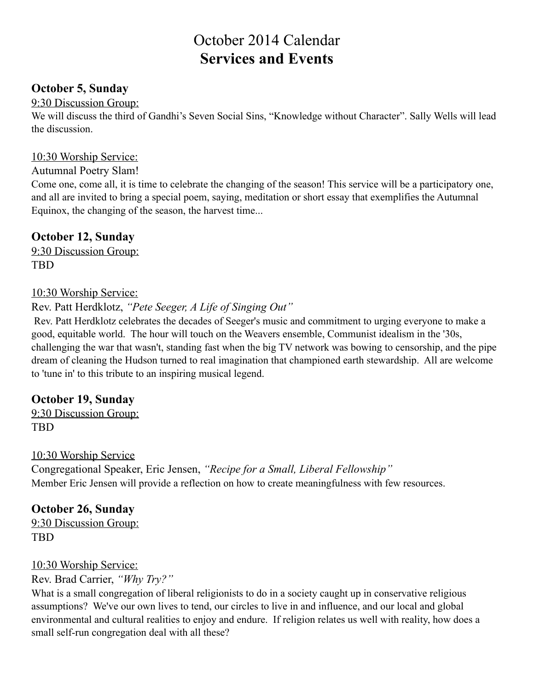## October 2014 Calendar **Services and Events**

## **October 5, Sunday**

### 9:30 Discussion Group:

We will discuss the third of Gandhi's Seven Social Sins, "Knowledge without Character". Sally Wells will lead the discussion.

### 10:30 Worship Service:

#### Autumnal Poetry Slam!

Come one, come all, it is time to celebrate the changing of the season! This service will be a participatory one, and all are invited to bring a special poem, saying, meditation or short essay that exemplifies the Autumnal Equinox, the changing of the season, the harvest time...

## **October 12, Sunday**

9:30 Discussion Group: TBD

#### 10:30 Worship Service:

Rev. Patt Herdklotz, *"Pete Seeger, A Life of Singing Out"*

 Rev. Patt Herdklotz celebrates the decades of Seeger's music and commitment to urging everyone to make a good, equitable world. The hour will touch on the Weavers ensemble, Communist idealism in the '30s, challenging the war that wasn't, standing fast when the big TV network was bowing to censorship, and the pipe dream of cleaning the Hudson turned to real imagination that championed earth stewardship. All are welcome to 'tune in' to this tribute to an inspiring musical legend.

## **October 19, Sunday**

9:30 Discussion Group: TBD

#### 10:30 Worship Service

Congregational Speaker, Eric Jensen, *"Recipe for a Small, Liberal Fellowship"* Member Eric Jensen will provide a reflection on how to create meaningfulness with few resources.

## **October 26, Sunday**

9:30 Discussion Group: TBD

#### 10:30 Worship Service:

Rev. Brad Carrier, *"Why Try?"*

What is a small congregation of liberal religionists to do in a society caught up in conservative religious assumptions? We've our own lives to tend, our circles to live in and influence, and our local and global environmental and cultural realities to enjoy and endure. If religion relates us well with reality, how does a small self-run congregation deal with all these?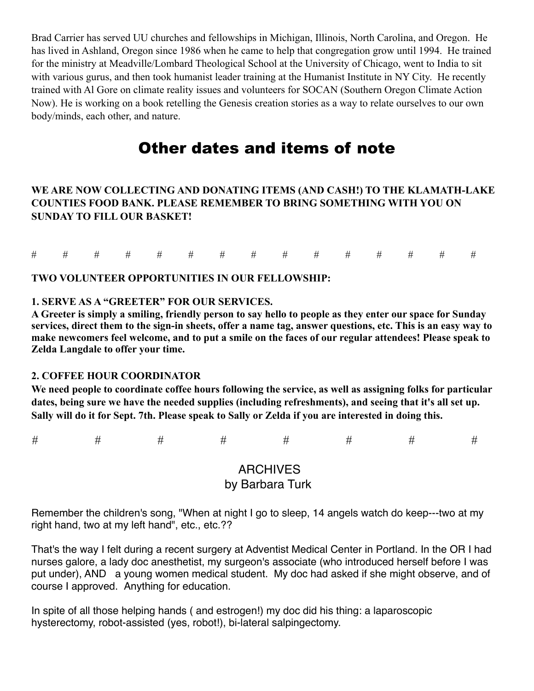Brad Carrier has served UU churches and fellowships in Michigan, Illinois, North Carolina, and Oregon. He has lived in Ashland, Oregon since 1986 when he came to help that congregation grow until 1994. He trained for the ministry at Meadville/Lombard Theological School at the University of Chicago, went to India to sit with various gurus, and then took humanist leader training at the Humanist Institute in NY City. He recently trained with Al Gore on climate reality issues and volunteers for SOCAN (Southern Oregon Climate Action Now). He is working on a book retelling the Genesis creation stories as a way to relate ourselves to our own body/minds, each other, and nature.

## Other dates and items of note

#### **WE ARE NOW COLLECTING AND DONATING ITEMS (AND CASH!) TO THE KLAMATH-LAKE COUNTIES FOOD BANK. PLEASE REMEMBER TO BRING SOMETHING WITH YOU ON SUNDAY TO FILL OUR BASKET!**

|  |  |  |  |  |  | # # # # # # # # # # # # # # # # |  |
|--|--|--|--|--|--|---------------------------------|--|
|  |  |  |  |  |  |                                 |  |

#### **TWO VOLUNTEER OPPORTUNITIES IN OUR FELLOWSHIP:**

#### **1. SERVE AS A "GREETER" FOR OUR SERVICES.**

**A Greeter is simply a smiling, friendly person to say hello to people as they enter our space for Sunday services, direct them to the sign-in sheets, offer a name tag, answer questions, etc. This is an easy way to make newcomers feel welcome, and to put a smile on the faces of our regular attendees! Please speak to Zelda Langdale to offer your time.**

#### **2. COFFEE HOUR COORDINATOR**

**We need people to coordinate coffee hours following the service, as well as assigning folks for particular dates, being sure we have the needed supplies (including refreshments), and seeing that it's all set up. Sally will do it for Sept. 7th. Please speak to Sally or Zelda if you are interested in doing this.**

*# # # # # # # #*

## ARCHIVES by Barbara Turk

Remember the children's song, "When at night I go to sleep, 14 angels watch do keep---two at my right hand, two at my left hand", etc., etc.??

That's the way I felt during a recent surgery at Adventist Medical Center in Portland. In the OR I had nurses galore, a lady doc anesthetist, my surgeon's associate (who introduced herself before I was put under), AND a young women medical student. My doc had asked if she might observe, and of course I approved. Anything for education.

In spite of all those helping hands ( and estrogen!) my doc did his thing: a laparoscopic hysterectomy, robot-assisted (yes, robot!), bi-lateral salpingectomy.